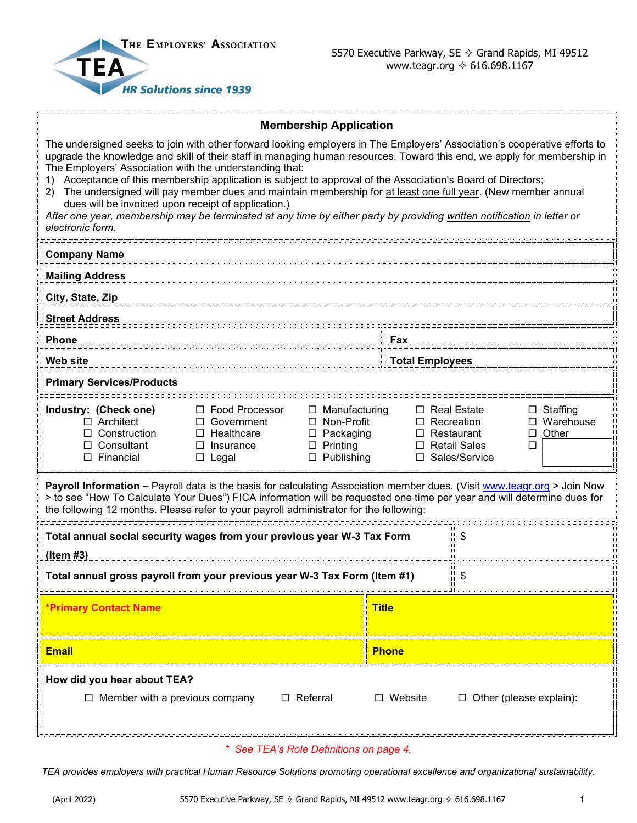

## **Membership Application**

|                                                                                                                                                                                                                                                                                                                                                                                                                                                                                                                                                                                                                                                                                                                                                          |                                                                                                | <b>Membership Application</b>                                                                         |                                                                                                                                                                    |                              |  |  |  |
|----------------------------------------------------------------------------------------------------------------------------------------------------------------------------------------------------------------------------------------------------------------------------------------------------------------------------------------------------------------------------------------------------------------------------------------------------------------------------------------------------------------------------------------------------------------------------------------------------------------------------------------------------------------------------------------------------------------------------------------------------------|------------------------------------------------------------------------------------------------|-------------------------------------------------------------------------------------------------------|--------------------------------------------------------------------------------------------------------------------------------------------------------------------|------------------------------|--|--|--|
| The undersigned seeks to join with other forward looking employers in The Employers' Association's cooperative efforts to<br>upgrade the knowledge and skill of their staff in managing human resources. Toward this end, we apply for membership in<br>The Employers' Association with the understanding that:<br>Acceptance of this membership application is subject to approval of the Association's Board of Directors;<br>The undersigned will pay member dues and maintain membership for at least one full year. (New member annual<br>(2)<br>dues will be invoiced upon receipt of application.)<br>After one year, membership may be terminated at any time by either party by providing written notification in letter or<br>electronic form. |                                                                                                |                                                                                                       |                                                                                                                                                                    |                              |  |  |  |
| <b>Company Name</b>                                                                                                                                                                                                                                                                                                                                                                                                                                                                                                                                                                                                                                                                                                                                      |                                                                                                |                                                                                                       |                                                                                                                                                                    |                              |  |  |  |
| <b>Mailing Address</b>                                                                                                                                                                                                                                                                                                                                                                                                                                                                                                                                                                                                                                                                                                                                   |                                                                                                |                                                                                                       |                                                                                                                                                                    |                              |  |  |  |
| City, State, Zip                                                                                                                                                                                                                                                                                                                                                                                                                                                                                                                                                                                                                                                                                                                                         |                                                                                                |                                                                                                       |                                                                                                                                                                    |                              |  |  |  |
| <b>Street Address</b>                                                                                                                                                                                                                                                                                                                                                                                                                                                                                                                                                                                                                                                                                                                                    |                                                                                                |                                                                                                       |                                                                                                                                                                    |                              |  |  |  |
| Phone                                                                                                                                                                                                                                                                                                                                                                                                                                                                                                                                                                                                                                                                                                                                                    |                                                                                                |                                                                                                       | Fax                                                                                                                                                                |                              |  |  |  |
| <b>Web site</b>                                                                                                                                                                                                                                                                                                                                                                                                                                                                                                                                                                                                                                                                                                                                          |                                                                                                |                                                                                                       |                                                                                                                                                                    | <b>Total Employees</b>       |  |  |  |
| <b>Primary Services/Products</b>                                                                                                                                                                                                                                                                                                                                                                                                                                                                                                                                                                                                                                                                                                                         |                                                                                                |                                                                                                       |                                                                                                                                                                    |                              |  |  |  |
| Industry: (Check one)<br>$\Box$ Architect<br>$\Box$ Construction<br>$\Box$ Consultant<br>$\square$ Financial                                                                                                                                                                                                                                                                                                                                                                                                                                                                                                                                                                                                                                             | □ Food Processor<br>$\Box$ Government<br>$\Box$ Healthcare<br>$\Box$ Insurance<br>$\Box$ Legal | $\Box$ Manufacturing<br>$\Box$ Non-Profit<br>$\Box$ Packaging<br>$\Box$ Printing<br>$\Box$ Publishing | $\Box$ Real Estate<br>$\Box$ Staffing<br>$\Box$ Warehouse<br>$\Box$ Recreation<br>$\Box$ Other<br>$\Box$ Restaurant<br>□ Retail Sales<br>$\Box$<br>□ Sales/Service |                              |  |  |  |
| Payroll Information - Payroll data is the basis for calculating Association member dues. (Visit www.teagr.org > Join Now<br>> to see "How To Calculate Your Dues") FICA information will be requested one time per year and will determine dues for<br>the following 12 months. Please refer to your payroll administrator for the following:                                                                                                                                                                                                                                                                                                                                                                                                            |                                                                                                |                                                                                                       |                                                                                                                                                                    |                              |  |  |  |
| Total annual social security wages from your previous year W-3 Tax Form<br>(Item #3)                                                                                                                                                                                                                                                                                                                                                                                                                                                                                                                                                                                                                                                                     |                                                                                                |                                                                                                       | \$                                                                                                                                                                 |                              |  |  |  |
| Total annual gross payroll from your previous year W-3 Tax Form (Item #1)                                                                                                                                                                                                                                                                                                                                                                                                                                                                                                                                                                                                                                                                                |                                                                                                |                                                                                                       |                                                                                                                                                                    | \$                           |  |  |  |
| <b>*Primary Contact Name</b>                                                                                                                                                                                                                                                                                                                                                                                                                                                                                                                                                                                                                                                                                                                             |                                                                                                |                                                                                                       | <b>Title</b>                                                                                                                                                       |                              |  |  |  |
| <b>Email</b>                                                                                                                                                                                                                                                                                                                                                                                                                                                                                                                                                                                                                                                                                                                                             |                                                                                                |                                                                                                       | <b>Phone</b>                                                                                                                                                       |                              |  |  |  |
| How did you hear about TEA?<br>$\Box$ Member with a previous company                                                                                                                                                                                                                                                                                                                                                                                                                                                                                                                                                                                                                                                                                     |                                                                                                | $\Box$ Referral                                                                                       | $\Box$ Website                                                                                                                                                     | Other (please explain):<br>ப |  |  |  |

*\* See TEA's Role Definitions on page 4.*

*TEA provides employers with practical Human Resource Solutions promoting operational excellence and organizational sustainability.*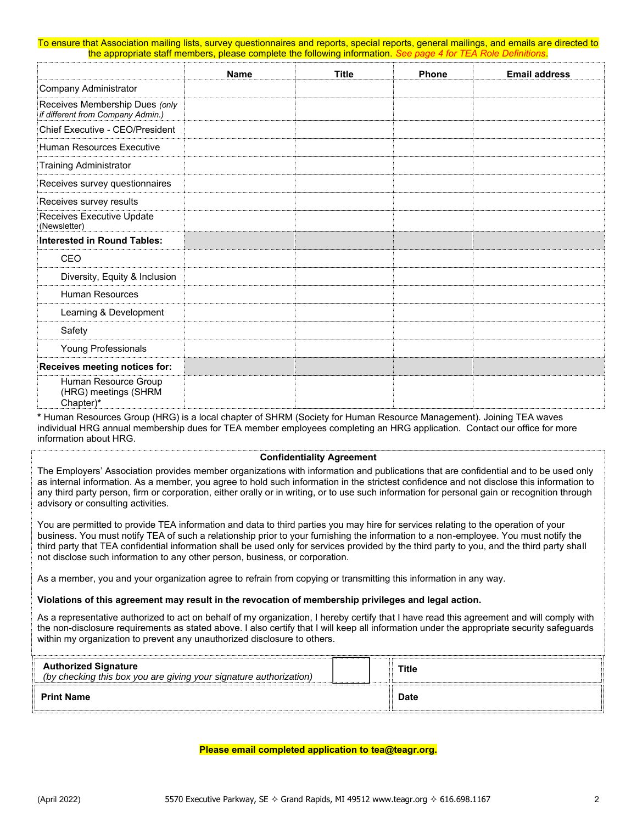To ensure that Association mailing lists, survey questionnaires and reports, special reports, general mailings, and emails are directed to the appropriate staff members, please complete the following information. *See page 4 for TEA Role Definitions*.

|                                                                     | <b>Name</b> | <b>Title</b> | <b>Phone</b> | <b>Email address</b> |
|---------------------------------------------------------------------|-------------|--------------|--------------|----------------------|
| Company Administrator                                               |             |              |              |                      |
| Receives Membership Dues (only<br>if different from Company Admin.) |             |              |              |                      |
| Chief Executive - CEO/President                                     |             |              |              |                      |
| Human Resources Executive                                           |             |              |              |                      |
| <b>Training Administrator</b>                                       |             |              |              |                      |
| Receives survey questionnaires                                      |             |              |              |                      |
| Receives survey results                                             |             |              |              |                      |
| Receives Executive Update<br>(Newsletter)                           |             |              |              |                      |
| Interested in Round Tables:                                         |             |              |              |                      |
| <b>CEO</b>                                                          |             |              |              |                      |
| Diversity, Equity & Inclusion                                       |             |              |              |                      |
| <b>Human Resources</b>                                              |             |              |              |                      |
| Learning & Development                                              |             |              |              |                      |
| Safety                                                              |             |              |              |                      |
| Young Professionals                                                 |             |              |              |                      |
| Receives meeting notices for:                                       |             |              |              |                      |
| Human Resource Group<br>(HRG) meetings (SHRM<br>Chapter)*           |             |              |              |                      |

**\*** Human Resources Group (HRG) is a local chapter of SHRM (Society for Human Resource Management). Joining TEA waves individual HRG annual membership dues for TEA member employees completing an HRG application. Contact our office for more information about HRG.

#### **Confidentiality Agreement**

The Employers' Association provides member organizations with information and publications that are confidential and to be used only as internal information. As a member, you agree to hold such information in the strictest confidence and not disclose this information to any third party person, firm or corporation, either orally or in writing, or to use such information for personal gain or recognition through advisory or consulting activities.

You are permitted to provide TEA information and data to third parties you may hire for services relating to the operation of your business. You must notify TEA of such a relationship prior to your furnishing the information to a non-employee. You must notify the third party that TEA confidential information shall be used only for services provided by the third party to you, and the third party shall not disclose such information to any other person, business, or corporation.

As a member, you and your organization agree to refrain from copying or transmitting this information in any way.

**Violations of this agreement may result in the revocation of membership privileges and legal action.**

As a representative authorized to act on behalf of my organization, I hereby certify that I have read this agreement and will comply with the non-disclosure requirements as stated above. I also certify that I will keep all information under the appropriate security safeguards within my organization to prevent any unauthorized disclosure to others.

| <b>Authorized Signature</b><br>(by checking this box you are giving your signature authorization) | <b>Title</b> |  |
|---------------------------------------------------------------------------------------------------|--------------|--|
| <b>Print Name</b>                                                                                 | <b>Date</b>  |  |

#### **Please email completed application to tea@teagr.org.**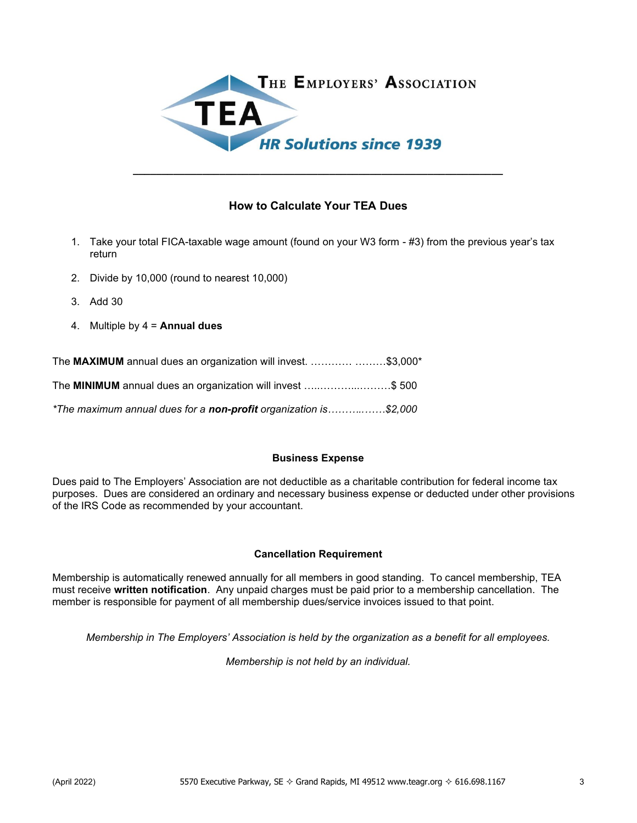

# **How to Calculate Your TEA Dues**

**\_\_\_\_\_\_\_\_\_\_\_\_\_\_\_\_\_\_\_\_\_\_\_\_\_\_\_\_\_\_\_\_\_\_\_\_\_\_\_\_\_\_\_\_\_\_\_\_\_\_\_\_\_\_\_\_\_\_\_\_\_\_\_\_**

- 1. Take your total FICA-taxable wage amount (found on your W3 form #3) from the previous year's tax return
- 2. Divide by 10,000 (round to nearest 10,000)
- 3. Add 30
- 4. Multiple by 4 = **Annual dues**

| The MAXIMUM annual dues an organization will invest.  \$3,000*   |  |
|------------------------------------------------------------------|--|
| The MINIMUM annual dues an organization will invest \$500        |  |
| *The maximum annual dues for a non-profit organization is\$2,000 |  |

### **Business Expense**

Dues paid to The Employers' Association are not deductible as a charitable contribution for federal income tax purposes. Dues are considered an ordinary and necessary business expense or deducted under other provisions of the IRS Code as recommended by your accountant.

### **Cancellation Requirement**

Membership is automatically renewed annually for all members in good standing. To cancel membership, TEA must receive **written notification**. Any unpaid charges must be paid prior to a membership cancellation. The member is responsible for payment of all membership dues/service invoices issued to that point.

*Membership in The Employers' Association is held by the organization as a benefit for all employees.*

*Membership is not held by an individual.*